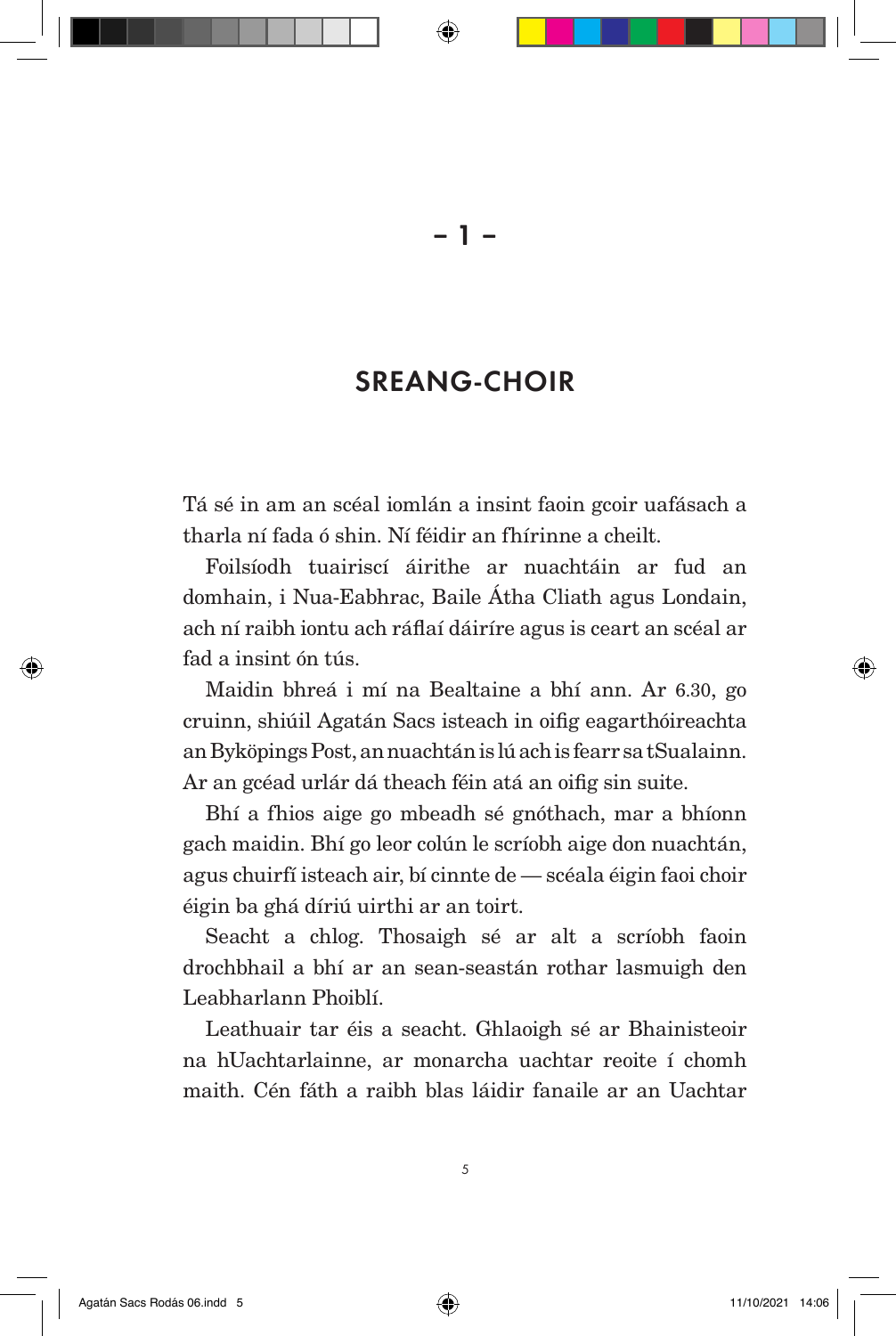## SREANG-CHOIR

Tá sé in am an scéal iomlán a insint faoin gcoir uafásach a tharla ní fada ó shin. Ní féidir an fhírinne a cheilt.

Foilsíodh tuairiscí áirithe ar nuachtáin ar fud an domhain, i Nua-Eabhrac, Baile Átha Cliath agus Londain, ach ní raibh iontu ach ráflaí dáiríre agus is ceart an scéal ar fad a insint ón tús.

Maidin bhreá i mí na Bealtaine a bhí ann. Ar 6.30, go cruinn, shiúil Agatán Sacs isteach in oifig eagarthóireachta an Byköpings Post, an nuachtán is lú ach is fearr sa tSualainn. Ar an gcéad urlár dá theach féin atá an oifig sin suite.

Bhí a fhios aige go mbeadh sé gnóthach, mar a bhíonn gach maidin. Bhí go leor colún le scríobh aige don nuachtán, agus chuirfí isteach air, bí cinnte de — scéala éigin faoi choir éigin ba ghá díriú uirthi ar an toirt.

Seacht a chlog. Thosaigh sé ar alt a scríobh faoin drochbhail a bhí ar an sean-seastán rothar lasmuigh den Leabharlann Phoiblí.

Leathuair tar éis a seacht. Ghlaoigh sé ar Bhainisteoir na hUachtarlainne, ar monarcha uachtar reoite í chomh maith. Cén fáth a raibh blas láidir fanaile ar an Uachtar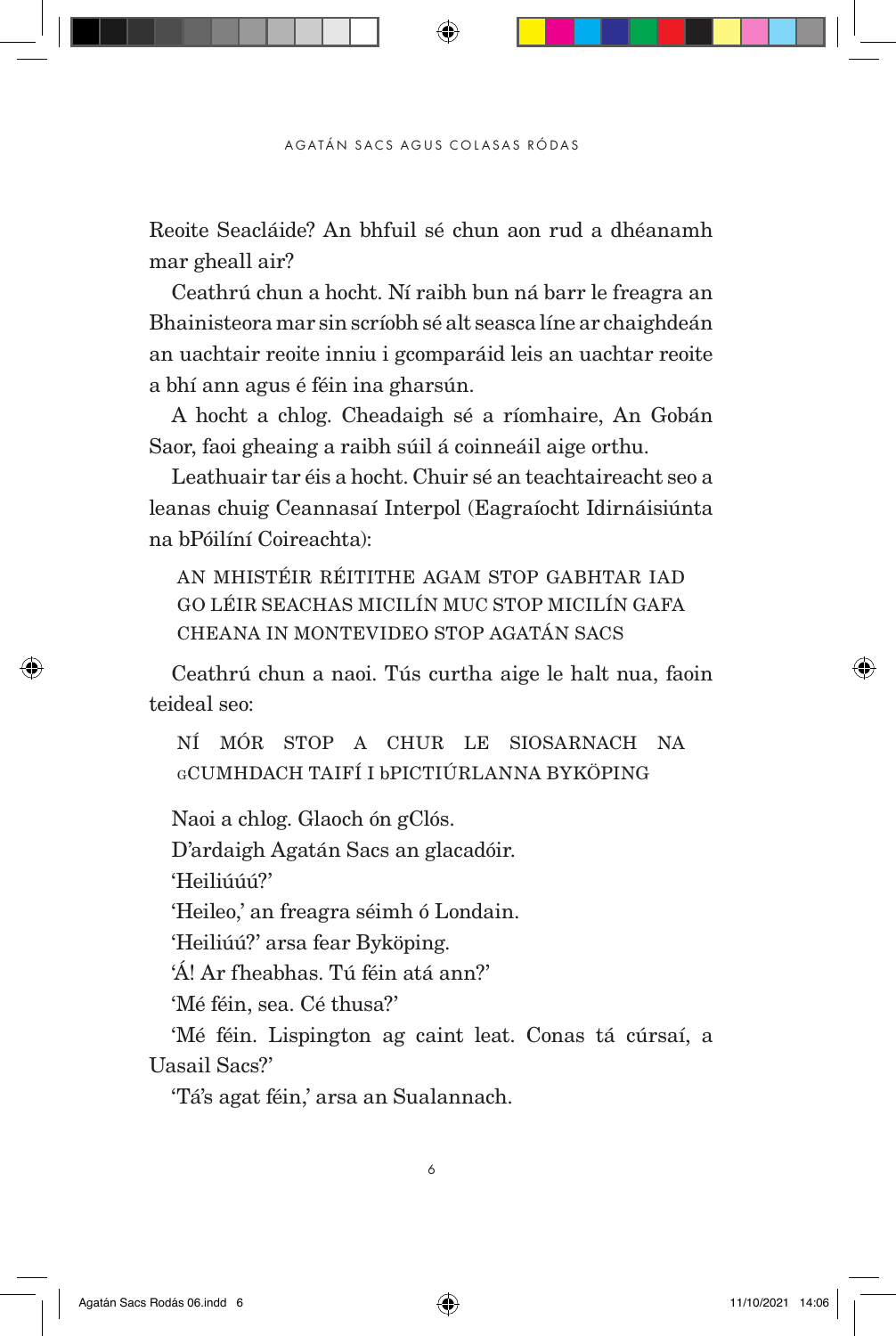Reoite Seacláide? An bhfuil sé chun aon rud a dhéanamh mar gheall air?

Ceathrú chun a hocht. Ní raibh bun ná barr le freagra an Bhainisteora mar sin scríobh sé alt seasca líne ar chaighdeán an uachtair reoite inniu i gcomparáid leis an uachtar reoite a bhí ann agus é féin ina gharsún.

A hocht a chlog. Cheadaigh sé a ríomhaire, An Gobán Saor, faoi gheaing a raibh súil á coinneáil aige orthu.

Leathuair tar éis a hocht. Chuir sé an teachtaireacht seo a leanas chuig Ceannasaí Interpol (Eagraíocht Idirnáisiúnta na bPóilíní Coireachta):

AN MHISTÉIR RÉITITHE AGAM STOP GABHTAR IAD GO LÉIR SEACHAS MICILÍN MUC STOP MICILÍN GAFA CHEANA IN MONTEVIDEO STOP AGATÁN SACS

Ceathrú chun a naoi. Tús curtha aige le halt nua, faoin teideal seo:

NÍ MÓR STOP A CHUR LE SIOSARNACH NA gCUMHDACH TAIFÍ I bPICTIÚRLANNA BYKÖPING

Naoi a chlog. Glaoch ón gClós.

D'ardaigh Agatán Sacs an glacadóir.

'Heiliúúú?'

'Heileo,' an freagra séimh ó Londain.

'Heiliúú?' arsa fear Byköping.

'Á! Ar fheabhas. Tú féin atá ann?'

'Mé féin, sea. Cé thusa?'

'Mé féin. Lispington ag caint leat. Conas tá cúrsaí, a Uasail Sacs?'

'Tá's agat féin,' arsa an Sualannach.

6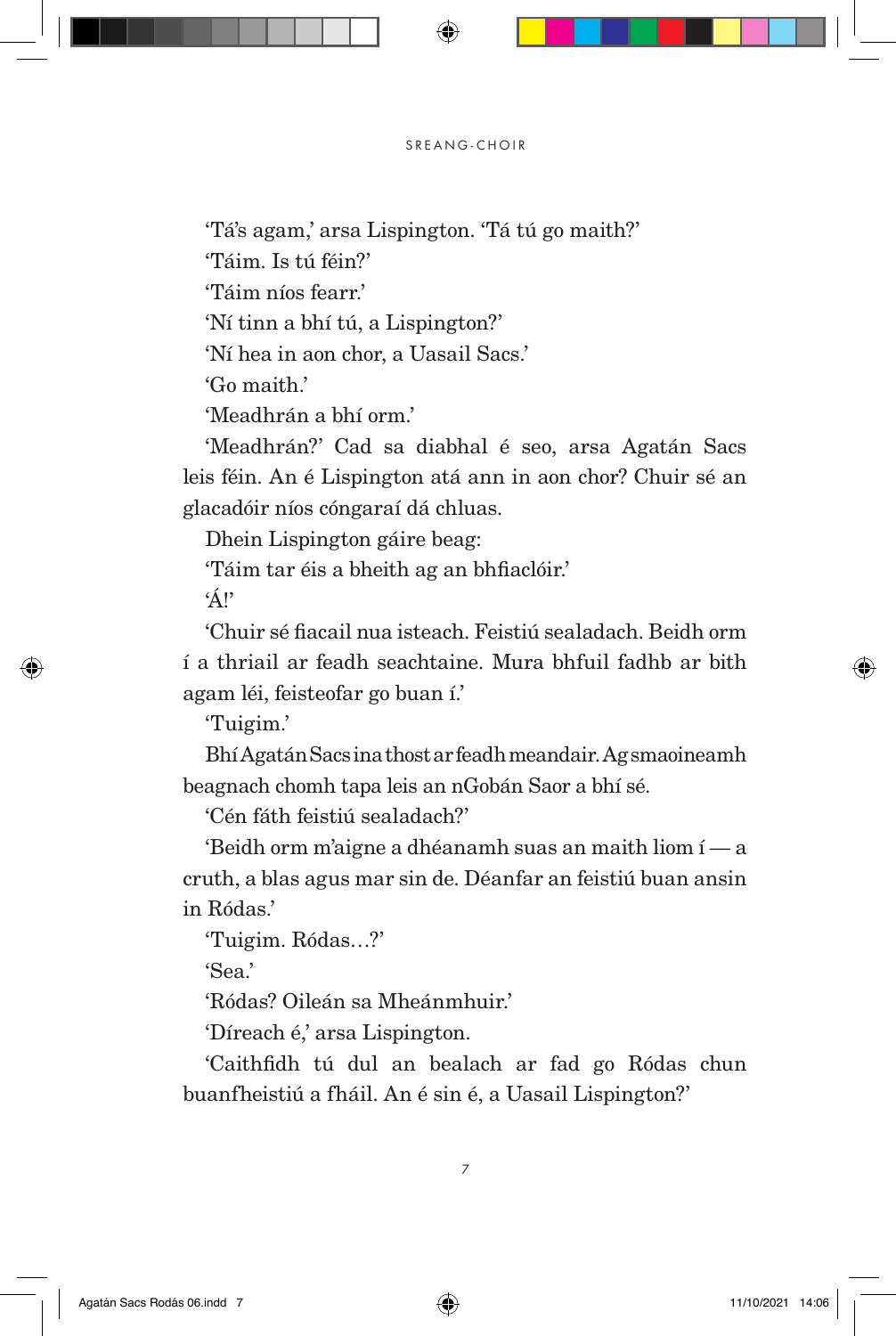'Tá's agam,' arsa Lispington. 'Tá tú go maith?'

'Táim. Is tú féin?'

'Táim níos fearr.'

'Ní tinn a bhí tú, a Lispington?'

'Ní hea in aon chor, a Uasail Sacs.'

'Go maith.'

'Meadhrán a bhí orm.'

'Meadhrán?' Cad sa diabhal é seo, arsa Agatán Sacs leis féin. An é Lispington atá ann in aon chor? Chuir sé an glacadóir níos cóngaraí dá chluas.

Dhein Lispington gáire beag:

'Táim tar éis a bheith ag an bhfiaclóir.'

'Á!'

'Chuir sé fiacail nua isteach. Feistiú sealadach. Beidh orm í a thriail ar feadh seachtaine. Mura bhfuil fadhb ar bith agam léi, feisteofar go buan í.'

'Tuigim.'

Bhí Agatán Sacs ina thost ar feadh meandair. Ag smaoineamh beagnach chomh tapa leis an nGobán Saor a bhí sé.

'Cén fáth feistiú sealadach?'

'Beidh orm m'aigne a dhéanamh suas an maith liom í — a cruth, a blas agus mar sin de. Déanfar an feistiú buan ansin in Ródas'

'Tuigim. Ródas…?'

 $'S_{\rho a}$ 

'Ródas? Oileán sa Mheánmhuir.'

'Díreach é,' arsa Lispington.

'Caithfidh tú dul an bealach ar fad go Ródas chun buanfheistiú a fháil. An é sin é, a Uasail Lispington?'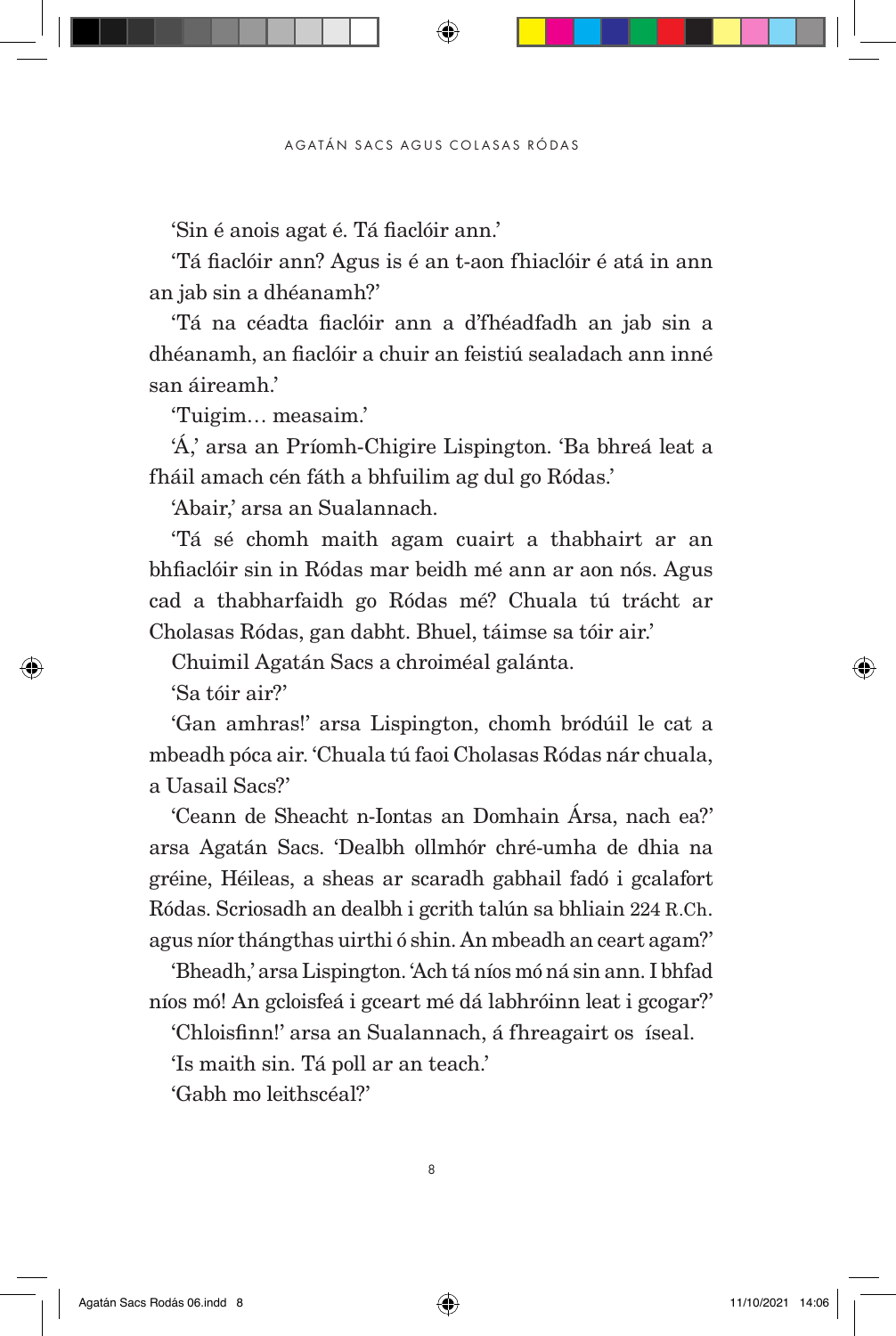'Sin é anois agat é. Tá fiaclóir ann.'

'Tá fiaclóir ann? Agus is é an t-aon fhiaclóir é atá in ann an jab sin a dhéanamh?'

'Tá na céadta fiaclóir ann a d'fhéadfadh an jab sin a dhéanamh, an fiaclóir a chuir an feistiú sealadach ann inné san áireamh.'

'Tuigim… measaim.'

'Á,' arsa an Príomh-Chigire Lispington. 'Ba bhreá leat a fháil amach cén fáth a bhfuilim ag dul go Ródas.'

'Abair,' arsa an Sualannach.

'Tá sé chomh maith agam cuairt a thabhairt ar an bhfiaclóir sin in Ródas mar beidh mé ann ar aon nós. Agus cad a thabharfaidh go Ródas mé? Chuala tú trácht ar Cholasas Ródas, gan dabht. Bhuel, táimse sa tóir air.'

Chuimil Agatán Sacs a chroiméal galánta.

'Sa tóir air?'

'Gan amhras!' arsa Lispington, chomh bródúil le cat a mbeadh póca air. 'Chuala tú faoi Cholasas Ródas nár chuala, a Uasail Sacs?'

'Ceann de Sheacht n-Iontas an Domhain Ársa, nach ea?' arsa Agatán Sacs. 'Dealbh ollmhór chré-umha de dhia na gréine, Héileas, a sheas ar scaradh gabhail fadó i gcalafort Ródas. Scriosadh an dealbh i gcrith talún sa bhliain 224 R.Ch. agus níor thángthas uirthi ó shin. An mbeadh an ceart agam?'

'Bheadh,' arsa Lispington. 'Ach tá níos mó ná sin ann. I bhfad níos mó! An gcloisfeá i gceart mé dá labhróinn leat i gcogar?'

'Chloisfinn!' arsa an Sualannach, á fhreagairt os íseal.

'Is maith sin. Tá poll ar an teach.'

'Gabh mo leithscéal?'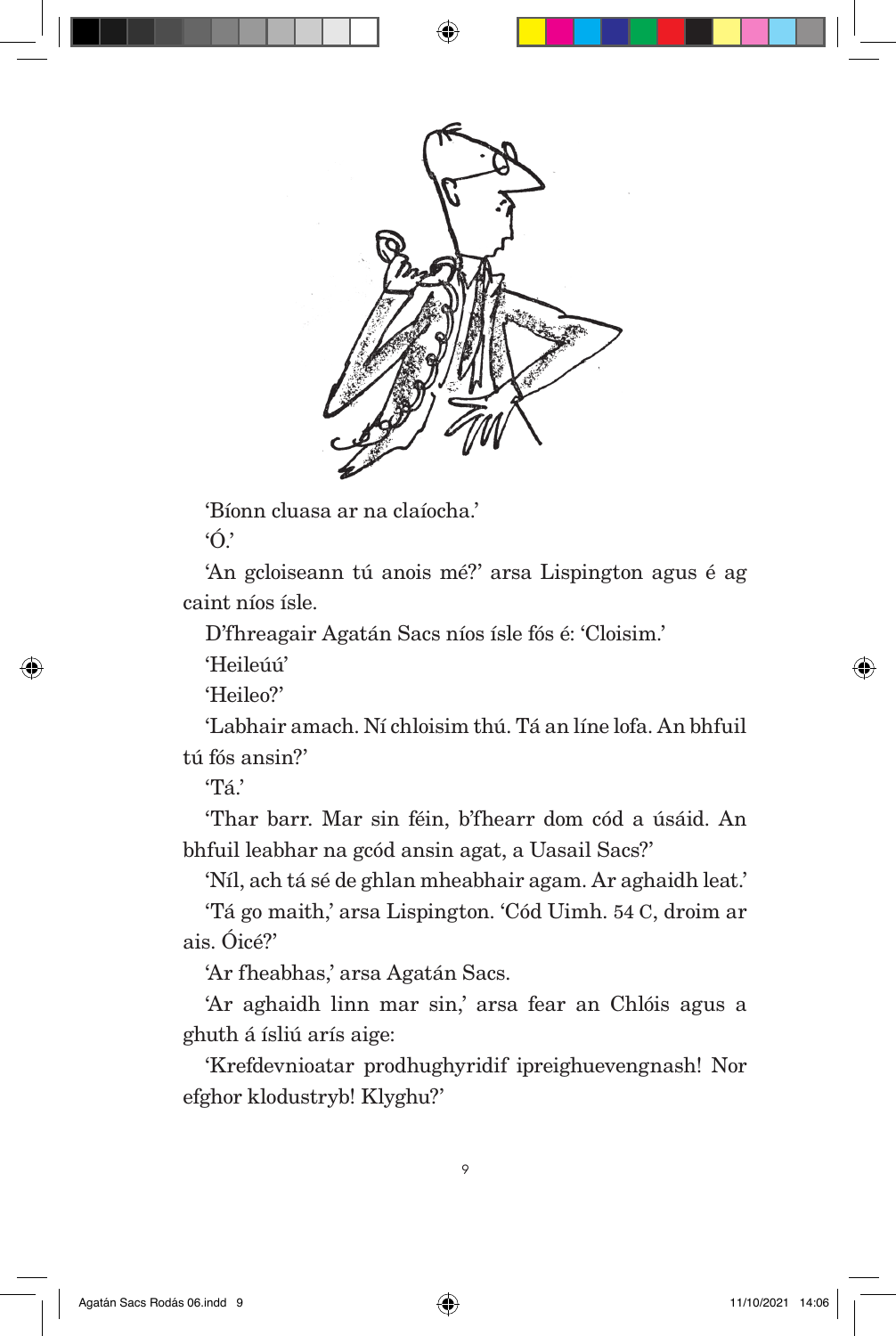

'Bíonn cluasa ar na claíocha.'

 $\cdot$   $\wedge$ 

'An gcloiseann tú anois mé?' arsa Lispington agus é ag caint níos ísle.

D'fhreagair Agatán Sacs níos ísle fós é: 'Cloisim.'

'Heileúú'

'Heileo?'

'Labhair amach. Ní chloisim thú. Tá an líne lofa. An bhfuil tú fós ansin?'

'Tá.'

'Thar barr. Mar sin féin, b'fhearr dom cód a úsáid. An bhfuil leabhar na gcód ansin agat, a Uasail Sacs?'

'Níl, ach tá sé de ghlan mheabhair agam. Ar aghaidh leat.'

'Tá go maith,' arsa Lispington. 'Cód Uimh. 54 C, droim ar ais. Óicé?'

'Ar fheabhas,' arsa Agatán Sacs.

'Ar aghaidh linn mar sin,' arsa fear an Chlóis agus a ghuth á ísliú arís aige:

'Krefdevnioatar prodhughyridif ipreighuevengnash! Nor efghor klodustryb! Klyghu?'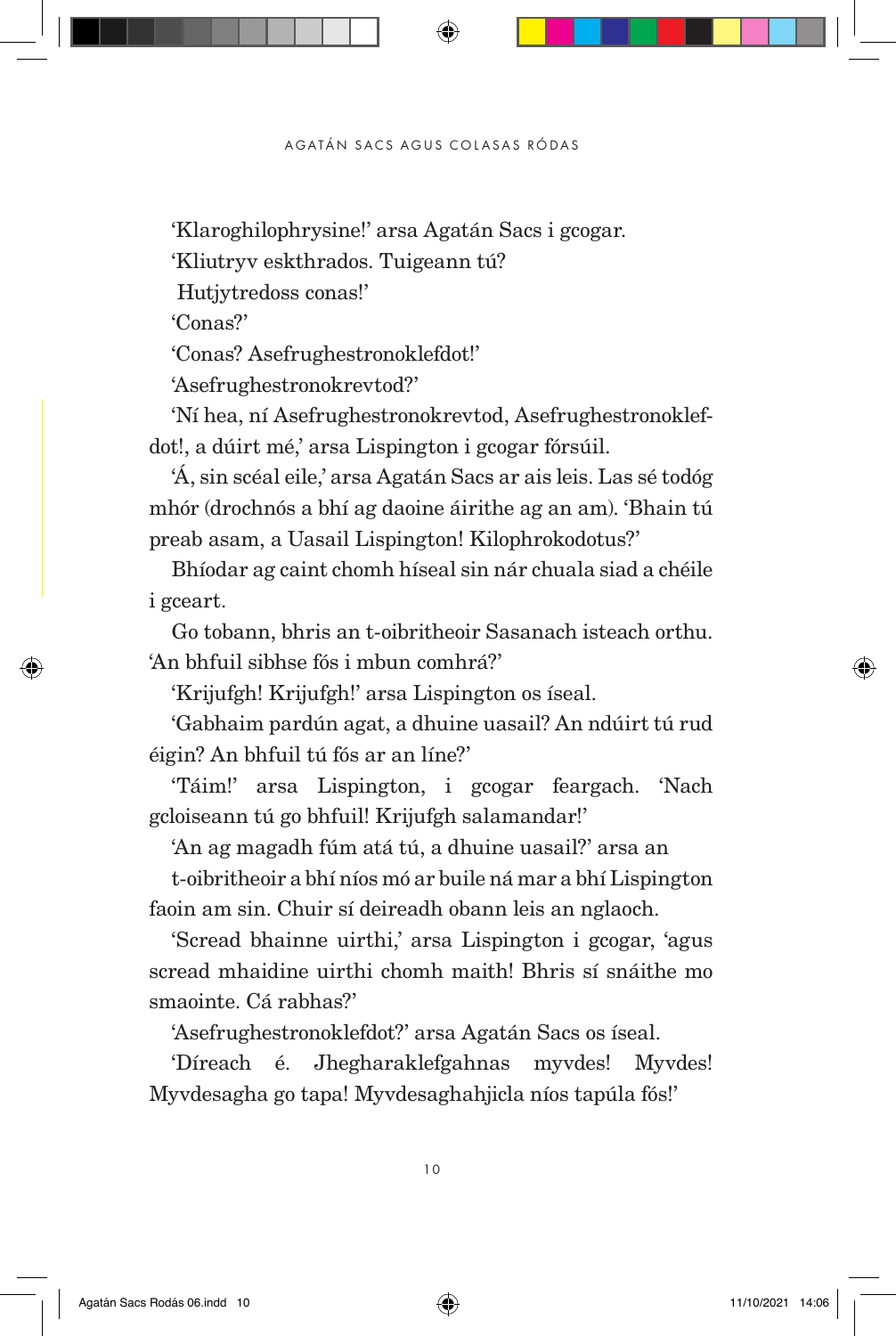'Klaroghilophrysine!' arsa Agatán Sacs i gcogar.

'Kliutryv eskthrados. Tuigeann tú?

Hutjytredoss conas!'

'Conas?'

'Conas? Asefrughestronoklefdot!'

'Asefrughestronokrevtod?'

'Ní hea, ní Asefrughestronokrevtod, Asefrughestronoklefdot!, a dúirt mé,' arsa Lispington i gcogar fórsúil.

'Á, sin scéal eile,' arsa Agatán Sacs ar ais leis. Las sé todóg mhór (drochnós a bhí ag daoine áirithe ag an am). 'Bhain tú preab asam, a Uasail Lispington! Kilophrokodotus?'

Bhíodar ag caint chomh híseal sin nár chuala siad a chéile i gceart.

Go tobann, bhris an t-oibritheoir Sasanach isteach orthu. 'An bhfuil sibhse fós i mbun comhrá?'

'Krijufgh! Krijufgh!' arsa Lispington os íseal.

'Gabhaim pardún agat, a dhuine uasail? An ndúirt tú rud éigin? An bhfuil tú fós ar an líne?'

'Táim!' arsa Lispington, i gcogar feargach. 'Nach gcloiseann tú go bhfuil! Krijufgh salamandar!'

'An ag magadh fúm atá tú, a dhuine uasail?' arsa an

t-oibritheoir a bhí níos mó ar buile ná mar a bhí Lispington faoin am sin. Chuir sí deireadh obann leis an nglaoch.

'Scread bhainne uirthi,' arsa Lispington i gcogar, 'agus scread mhaidine uirthi chomh maith! Bhris sí snáithe mo smaointe. Cá rabhas?'

'Asefrughestronoklefdot?' arsa Agatán Sacs os íseal.

'Díreach é. Jhegharaklefgahnas myvdes! Myvdes! Myvdesagha go tapa! Myvdesaghahjicla níos tapúla fós!'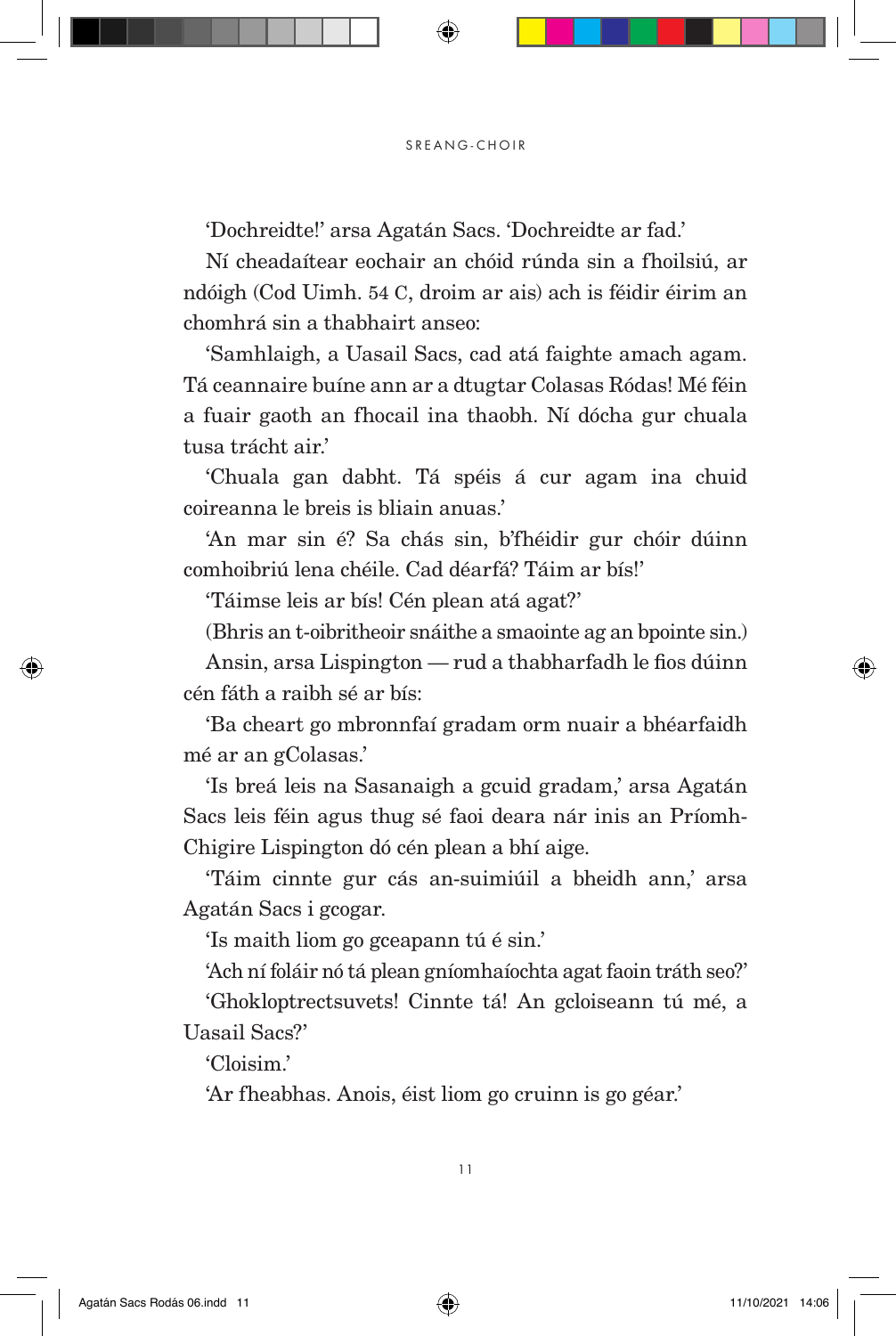'Dochreidte!' arsa Agatán Sacs. 'Dochreidte ar fad.'

Ní cheadaítear eochair an chóid rúnda sin a fhoilsiú, ar ndóigh (Cod Uimh. 54 C, droim ar ais) ach is féidir éirim an chomhrá sin a thabhairt anseo:

'Samhlaigh, a Uasail Sacs, cad atá faighte amach agam. Tá ceannaire buíne ann ar a dtugtar Colasas Ródas! Mé féin a fuair gaoth an fhocail ina thaobh. Ní dócha gur chuala tusa trácht air.'

'Chuala gan dabht. Tá spéis á cur agam ina chuid coireanna le breis is bliain anuas.'

'An mar sin é? Sa chás sin, b'fhéidir gur chóir dúinn comhoibriú lena chéile. Cad déarfá? Táim ar bís!'

'Táimse leis ar bís! Cén plean atá agat?'

(Bhris an t-oibritheoir snáithe a smaointe ag an bpointe sin.)

Ansin, arsa Lispington — rud a thabharfadh le fios dúinn cén fáth a raibh sé ar bís:

'Ba cheart go mbronnfaí gradam orm nuair a bhéarfaidh mé ar an gColasas.'

'Is breá leis na Sasanaigh a gcuid gradam,' arsa Agatán Sacs leis féin agus thug sé faoi deara nár inis an Príomh-Chigire Lispington dó cén plean a bhí aige.

'Táim cinnte gur cás an-suimiúil a bheidh ann,' arsa Agatán Sacs i gcogar.

'Is maith liom go gceapann tú é sin.'

'Ach ní foláir nó tá plean gníomhaíochta agat faoin tráth seo?'

'Ghokloptrectsuvets! Cinnte tá! An gcloiseann tú mé, a Uasail Sacs?'

'Cloisim.'

'Ar fheabhas. Anois, éist liom go cruinn is go géar.'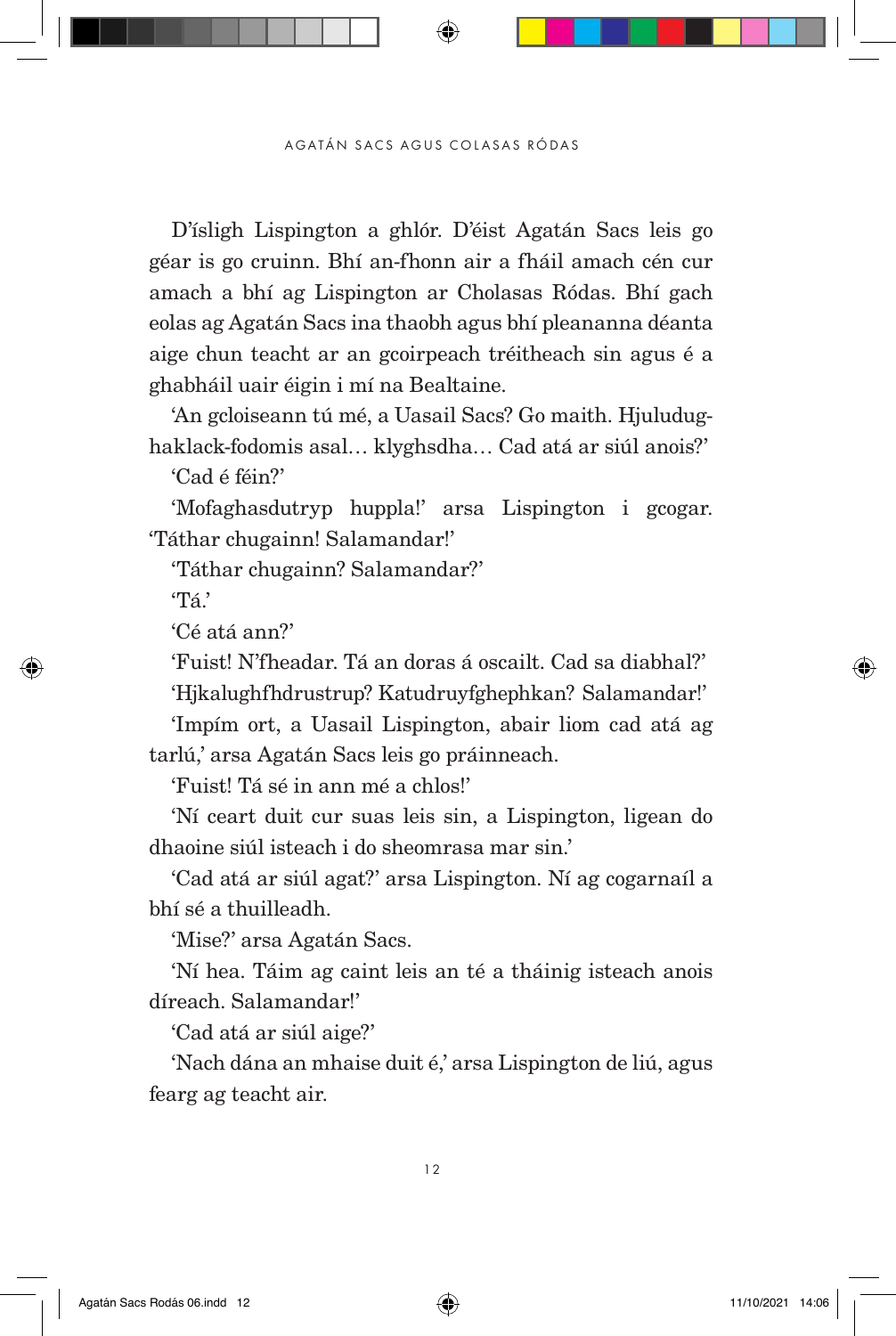D'ísligh Lispington a ghlór. D'éist Agatán Sacs leis go géar is go cruinn. Bhí an-fhonn air a fháil amach cén cur amach a bhí ag Lispington ar Cholasas Ródas. Bhí gach eolas ag Agatán Sacs ina thaobh agus bhí pleananna déanta aige chun teacht ar an gcoirpeach tréitheach sin agus é a ghabháil uair éigin i mí na Bealtaine.

'An gcloiseann tú mé, a Uasail Sacs? Go maith. Hjuludughaklack-fodomis asal… klyghsdha… Cad atá ar siúl anois?'

'Cad é féin?'

'Mofaghasdutryp huppla!' arsa Lispington i gcogar. 'Táthar chugainn! Salamandar!'

'Táthar chugainn? Salamandar?'

'Tá.'

'Cé atá ann?'

'Fuist! N'fheadar. Tá an doras á oscailt. Cad sa diabhal?' 'Hjkalughfhdrustrup? Katudruyfghephkan? Salamandar!'

'Impím ort, a Uasail Lispington, abair liom cad atá ag tarlú,' arsa Agatán Sacs leis go práinneach.

'Fuist! Tá sé in ann mé a chlos!'

'Ní ceart duit cur suas leis sin, a Lispington, ligean do dhaoine siúl isteach i do sheomrasa mar sin.'

'Cad atá ar siúl agat?' arsa Lispington. Ní ag cogarnaíl a bhí sé a thuilleadh.

'Mise?' arsa Agatán Sacs.

'Ní hea. Táim ag caint leis an té a tháinig isteach anois díreach. Salamandar!'

'Cad atá ar siúl aige?'

'Nach dána an mhaise duit é,' arsa Lispington de liú, agus fearg ag teacht air.